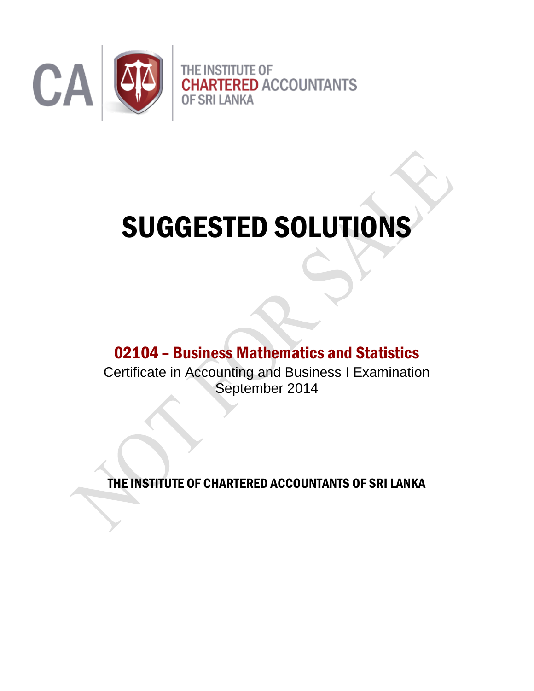

# SUGGESTED SOLUTIONS

## 02104 – Business Mathematics and Statistics

Certificate in Accounting and Business I Examination September 2014

THE INSTITUTE OF CHARTERED ACCOUNTANTS OF SRI LANKA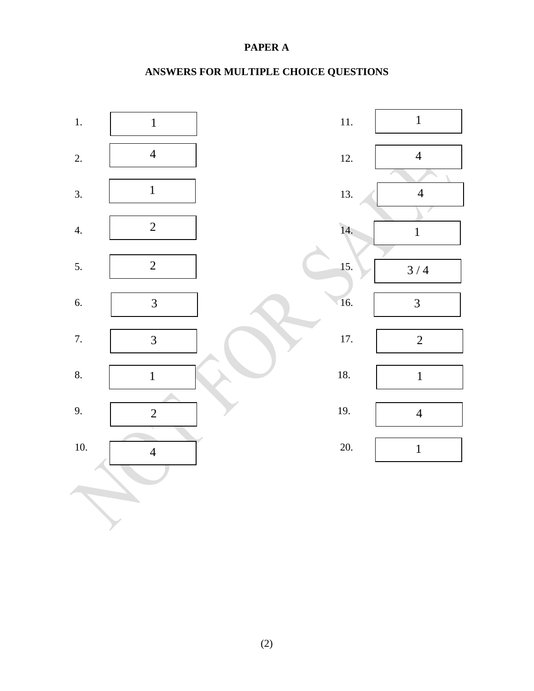#### **PAPER A**

### **ANSWERS FOR MULTIPLE CHOICE QUESTIONS**

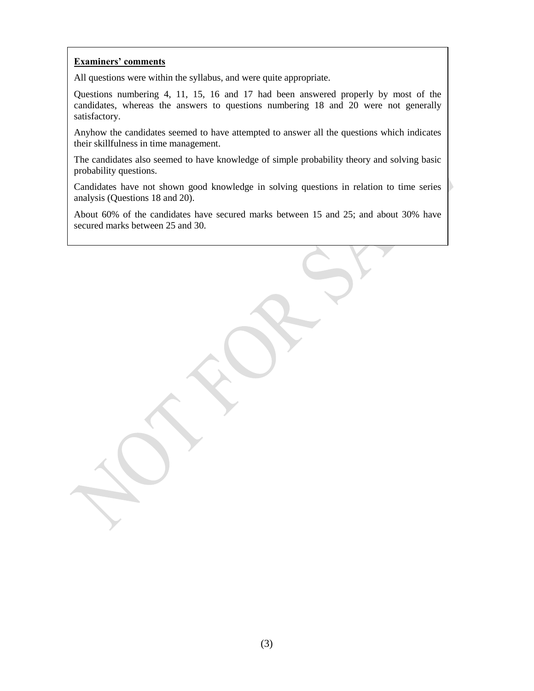#### **Examiners' comments**

All questions were within the syllabus, and were quite appropriate.

Questions numbering 4, 11, 15, 16 and 17 had been answered properly by most of the candidates, whereas the answers to questions numbering 18 and 20 were not generally satisfactory.

Anyhow the candidates seemed to have attempted to answer all the questions which indicates their skillfulness in time management.

The candidates also seemed to have knowledge of simple probability theory and solving basic probability questions.

Candidates have not shown good knowledge in solving questions in relation to time series analysis (Questions 18 and 20).

About 60% of the candidates have secured marks between 15 and 25; and about 30% have secured marks between 25 and 30.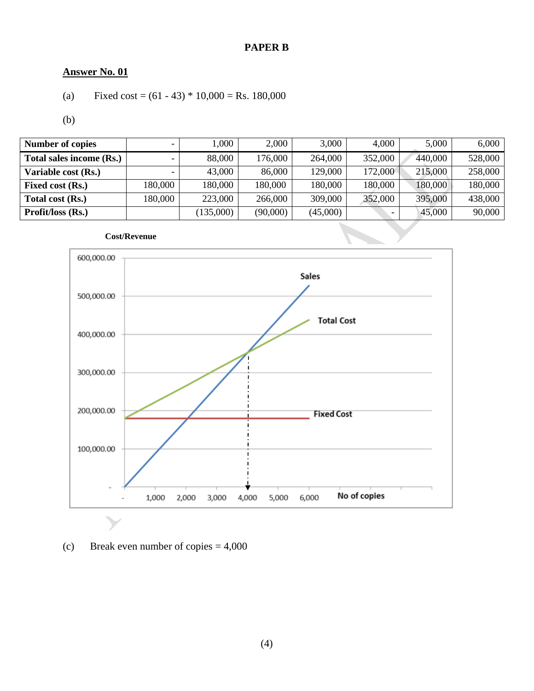#### **PAPER B**

#### **Answer No. 01**

(a) Fixed cost = 
$$
(61 - 43) * 10,000 =
$$
Rs. 180,000

(b)

| <b>Number of copies</b>  |         | 1,000     | 2,000    | 3,000    | 4,000   | 5,000   | 6,000   |
|--------------------------|---------|-----------|----------|----------|---------|---------|---------|
| Total sales income (Rs.) |         | 88,000    | 176,000  | 264,000  | 352,000 | 440,000 | 528,000 |
| Variable cost (Rs.)      |         | 43,000    | 86,000   | 129,000  | 172,000 | 215,000 | 258,000 |
| <b>Fixed cost (Rs.)</b>  | 180,000 | 180,000   | 180,000  | 180,000  | 180,000 | 180,000 | 180,000 |
| Total cost (Rs.)         | 180,000 | 223,000   | 266,000  | 309,000  | 352,000 | 395,000 | 438,000 |
| Profit/loss (Rs.)        |         | (135,000) | (90,000) | (45,000) |         | 45,000  | 90,000  |



(c) Break even number of copies  $= 4,000$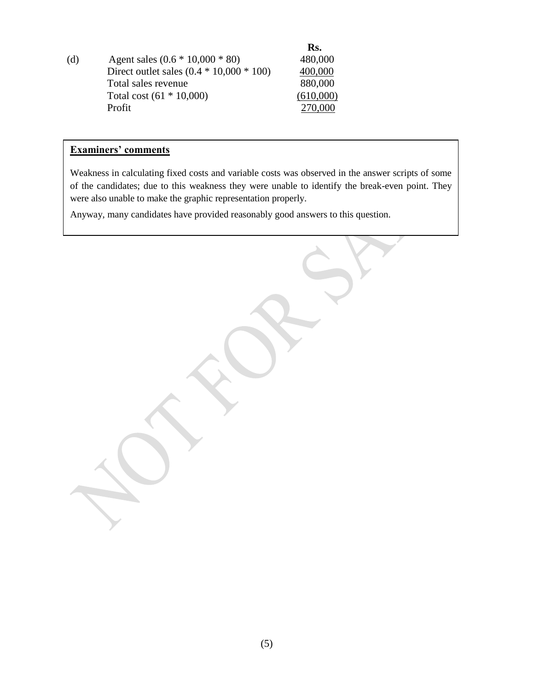(d)  **Rs.** Agent sales  $(0.6 * 10,000 * 80)$  480,000 Direct outlet sales  $(0.4 * 10,000 * 100)$   $400,000$ Total sales revenue 880,000 Total cost (61 \* 10,000) (610,000) Profit 270,000

#### **Examiners' comments**

Weakness in calculating fixed costs and variable costs was observed in the answer scripts of some of the candidates; due to this weakness they were unable to identify the break-even point. They were also unable to make the graphic representation properly.

Anyway, many candidates have provided reasonably good answers to this question.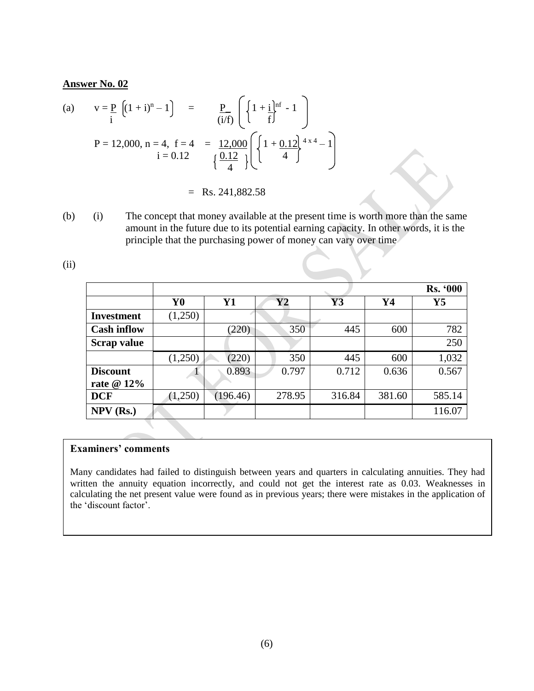(a) 
$$
v = \frac{p}{i} \left( (1+i)^n - 1 \right) = \frac{p}{(i/f)} \left( \left\{ 1 + \frac{i}{f} \right\}^{inf} - 1 \right)
$$
  
\n $P = 12,000, n = 4, f = 4 = \frac{12,000}{\left\{ \frac{0.12}{4} \right\}} \left( \left\{ 1 + \frac{0.12}{4} \right\}^{4 \times 4} - 1 \right)$ 

 $=$  Rs. 241,882.58

(b) (i) The concept that money available at the present time is worth more than the same amount in the future due to its potential earning capacity. In other words, it is the principle that the purchasing power of money can vary over time

(ii)

|                    |                |           |          |        |        | <b>Rs. '000</b> |
|--------------------|----------------|-----------|----------|--------|--------|-----------------|
|                    | Y <sub>0</sub> | <b>Y1</b> | $\bf Y2$ | Y3     | Y4     | $\mathbf{Y}$ 5  |
| <b>Investment</b>  | (1,250)        |           |          |        |        |                 |
| <b>Cash inflow</b> |                | (220)     | 350      | 445    | 600    | 782             |
| <b>Scrap value</b> |                |           |          |        |        | 250             |
|                    | (1,250)        | (220)     | 350      | 445    | 600    | 1,032           |
| <b>Discount</b>    |                | 0.893     | 0.797    | 0.712  | 0.636  | 0.567           |
| rate $@12\%$       |                |           |          |        |        |                 |
| <b>DCF</b>         | (1,250)        | (196.46)  | 278.95   | 316.84 | 381.60 | 585.14          |
| $NPV$ (Rs.)        |                |           |          |        |        | 116.07          |
|                    |                |           |          |        |        |                 |

#### **Examiners' comments**

Many candidates had failed to distinguish between years and quarters in calculating annuities. They had written the annuity equation incorrectly, and could not get the interest rate as 0.03. Weaknesses in calculating the net present value were found as in previous years; there were mistakes in the application of the 'discount factor'.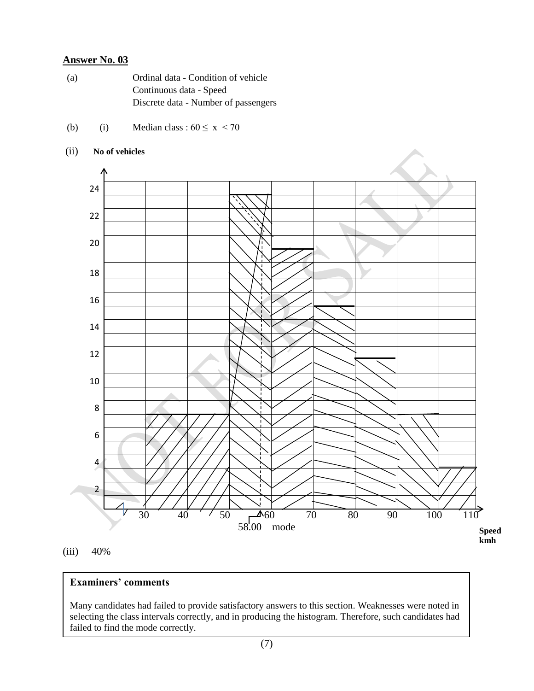- (a) Ordinal data Condition of vehicle Continuous data - Speed Discrete data - Number of passengers
- (b) (i) Median class :  $60 \le x \le 70$

#### (ii) **No of vehicles**



(iii) 40%

#### **Examiners' comments**

Many candidates had failed to provide satisfactory answers to this section. Weaknesses were noted in selecting the class intervals correctly, and in producing the histogram. Therefore, such candidates had failed to find the mode correctly.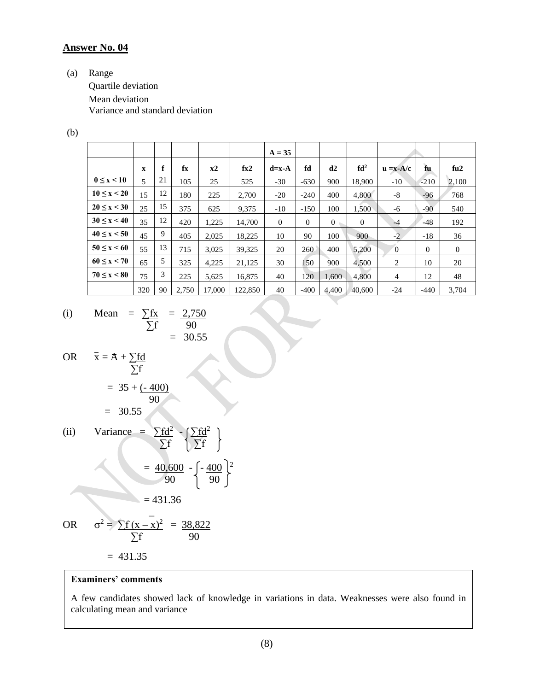(a) Range

Quartile deviation Mean deviation Variance and standard deviation

(b)

|                     |                          |    |       |        |         | $A = 35$ |          |          |                 |                |          |                |
|---------------------|--------------------------|----|-------|--------|---------|----------|----------|----------|-----------------|----------------|----------|----------------|
|                     | $\mathbf{x}$             | f  | fx    | $x^2$  | fx2     | $d=x-A$  | fd       | d2       | fd <sup>2</sup> | $u = x - A/c$  | fu       | fu2            |
| $0 \leq x \leq 10$  | $\overline{\phantom{0}}$ | 21 | 105   | 25     | 525     | $-30$    | $-630$   | 900      | 18,900          | $-10$          | $-210$   | 2,100          |
| 10 < x < 20         | 15                       | 12 | 180   | 225    | 2,700   | $-20$    | $-240$   | 400      | 4,800           | $-8$           | $-96$    | 768            |
| $20 \le x < 30$     | 25                       | 15 | 375   | 625    | 9,375   | $-10$    | $-150$   | 100      | 1,500           | -6             | $-90$    | 540            |
| $30 \le x < 40$     | 35                       | 12 | 420   | 1,225  | 14,700  | $\theta$ | $\theta$ | $\Omega$ | $\overline{0}$  | $-4$           | $-48$    | 192            |
| $40 \le x \le 50$   | 45                       | 9  | 405   | 2,025  | 18,225  | 10       | 90       | 100      | 900             | $-2$           | $-18$    | 36             |
| $50 \le x \le 60$   | 55                       | 13 | 715   | 3.025  | 39,325  | 20       | 260      | 400      | 5,200           | $\overline{0}$ | $\Omega$ | $\overline{0}$ |
| 60 < x < 70         | 65                       | 5  | 325   | 4,225  | 21,125  | 30       | 150      | 900      | 4,500           | 2              | 10       | 20             |
| $70 \leq x \leq 80$ | 75                       | 3  | 225   | 5.625  | 16.875  | 40       | 120      | 1.600    | 4.800           | $\overline{4}$ | 12       | 48             |
|                     | 320                      | 90 | 2.750 | 17,000 | 122,850 | 40       | $-400$   | 4.400    | 40,600          | $-24$          | $-440$   | 3,704          |

 $\overline{\mathcal{L}}$ 

(i) Mean = 
$$
\frac{\sum fx}{\sum f} = \frac{2,750}{90}
$$
  
= 30.55

OR 
$$
\bar{x} = A + \sum fd
$$
  
= 35 + (-400)  
= 30.55

(ii) Variance = 
$$
\sum fd^2 - \left\{\frac{\sum fd^2}{\sum f}\right\}
$$
  
=  $\frac{40,600}{90} - \left\{-\frac{400}{90}\right\}^2$   
= 431.36

OR 
$$
\sigma^2 = \frac{\sum f(x - \bar{x})^2}{\sum f} = \frac{38,822}{90}
$$

 $= 431.35$ 

#### **Examiners' comments**

A few candidates showed lack of knowledge in variations in data. Weaknesses were also found in calculating mean and variance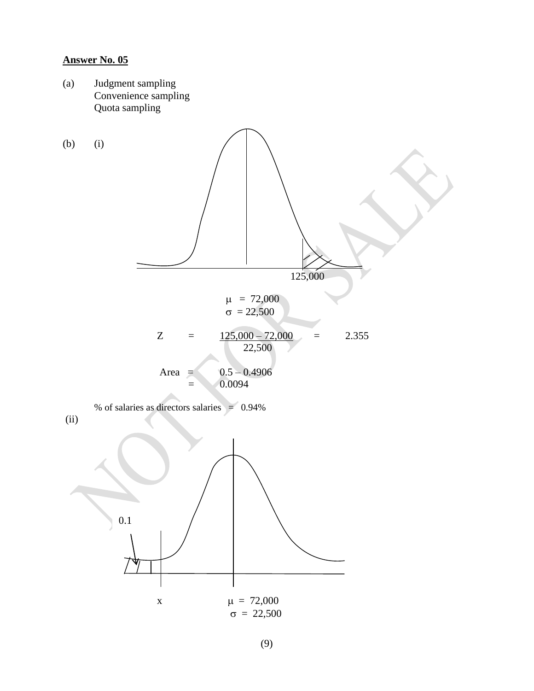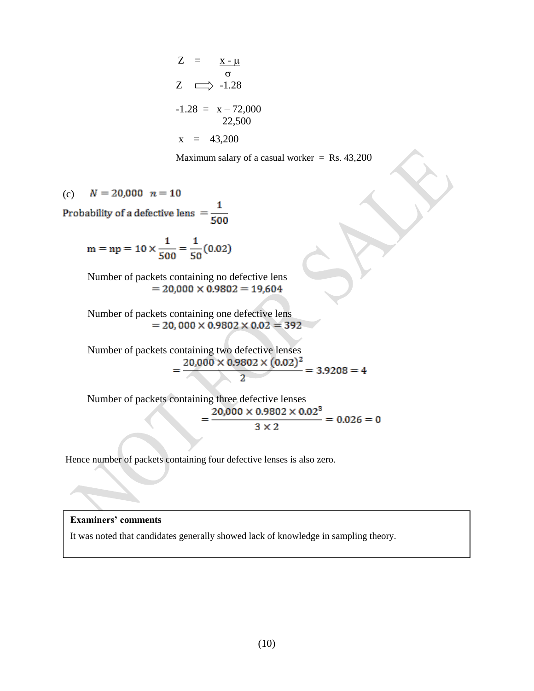$$
Z = \frac{x - \mu}{\sigma}
$$
  
\n
$$
Z \implies -1.28
$$
  
\n
$$
-1.28 = \frac{x - 72,000}{22,500}
$$
  
\n
$$
x = 43,200
$$

Maximum salary of a casual worker  $=$  Rs. 43,200

 $N = 20,000 n = 10$  $(c)$ Probability of a defective lens  $=$   $\frac{1}{500}$ 

$$
m = np = 10 \times \frac{1}{500} = \frac{1}{50}(0.02)
$$

Number of packets containing no defective lens  $= 20,000 \times 0.9802 = 19,604$ 

Number of packets containing one defective lens  $= 20,000 \times 0.9802 \times 0.02 = 392$ 

Number of packets containing two defective lenses<br>=  $\frac{20,000 \times 0.9802 \times (0.02)^2}{2}$  = 3.9208 = 4

Number of packets containing three defective lenses<br>=  $\frac{20,000 \times 0.9802 \times 0.02^3}{3 \times 2}$  = 0.026 = 0

Hence number of packets containing four defective lenses is also zero.

#### **Examiners' comments**

It was noted that candidates generally showed lack of knowledge in sampling theory.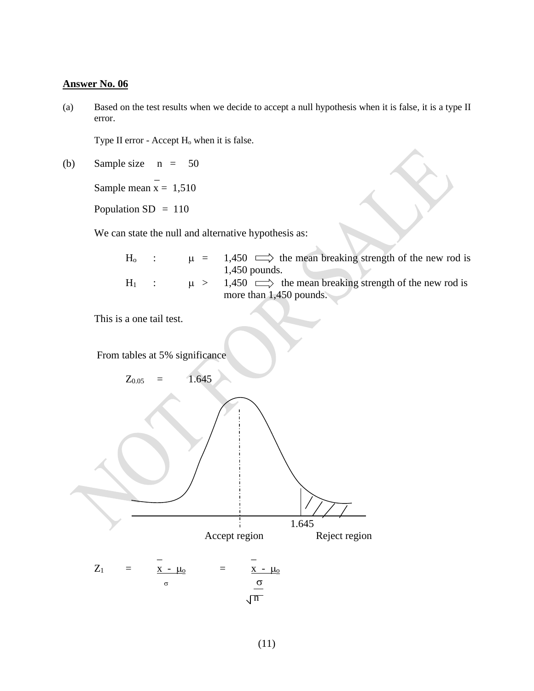(a) Based on the test results when we decide to accept a null hypothesis when it is false, it is a type II error.

Type II error - Accept H<sub>o</sub> when it is false.

(b) Sample size  $n = 50$  $\sim$   $\sim$ 

Sample mean  $x = 1,510$ 

Population SD = 110

We can state the null and alternative hypothesis as:

| $H_0$ |         | $\mu = 1,450 \implies$ the mean breaking strength of the new rod is |
|-------|---------|---------------------------------------------------------------------|
|       |         | $1,450$ pounds.                                                     |
| $H_1$ | $\mu >$ | $1,450 \implies$ the mean breaking strength of the new rod is       |
|       |         | more than $1,450$ pounds.                                           |

Ÿ.

This is a one tail test.

From tables at 5% significance

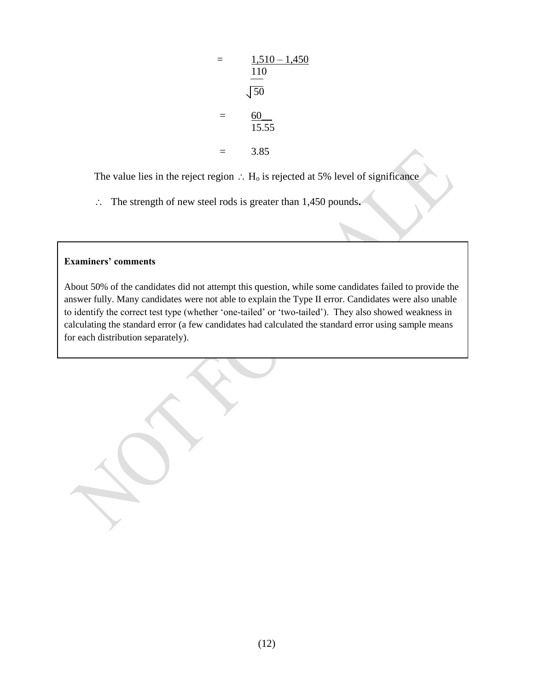$$
= \frac{1,510 - 1,450}{\frac{110}{50}}
$$

$$
= \frac{60}{15.55}
$$

$$
= 3.85
$$

The value lies in the reject region  $\therefore$  H<sub>o</sub> is rejected at 5% level of significance

The strength of new steel rods is greater than 1,450 pounds**.** 

#### **Examiners' comments**

About 50% of the candidates did not attempt this question, while some candidates failed to provide the answer fully. Many candidates were not able to explain the Type II error. Candidates were also unable to identify the correct test type (whether 'one-tailed' or 'two-tailed'). They also showed weakness in calculating the standard error (a few candidates had calculated the standard error using sample means for each distribution separately).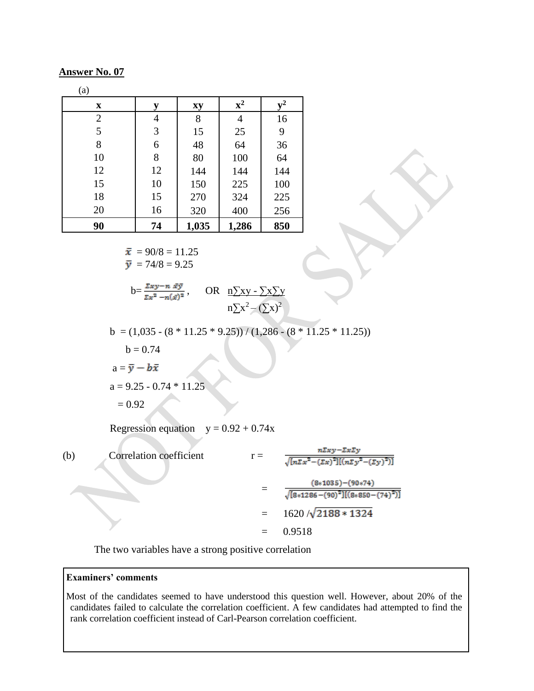| (a)            |                |       |                |       |
|----------------|----------------|-------|----------------|-------|
| $\mathbf x$    | у              | xy    | ${\bf x}^2$    | $v^2$ |
| $\overline{c}$ | 4              | 8     | $\overline{4}$ | 16    |
| $\overline{5}$ | $\mathfrak{Z}$ | 15    | 25             | 9     |
| 8              | 6              | 48    | 64             | 36    |
| 10             | 8              | 80    | 100            | 64    |
| 12             | 12             | 144   | 144            | 144   |
| 15             | 10             | 150   | 225            | 100   |
| 18             | 15             | 270   | 324            | 225   |
| 20             | 16             | 320   | 400            | 256   |
| 90             | 74             | 1,035 | 1,286          | 850   |

$$
\bar{x} = 90/8 = 11.25
$$
  

$$
\bar{y} = 74/8 = 9.25
$$

 $b=\frac{\sum xy-n\ \bar{x}\bar{y}}{\sum x^2-n(\bar{x})^2}$ , OR  $\underline{n}\sum xy-\sum x\sum y$  $n\sum x^2 - (\sum x)^2$ 

b =  $(1,035 - (8 * 11.25 * 9.25))/(1,286 - (8 * 11.25 * 11.25))$ 

 $b = 0.74$ 

 $a = \overline{y} - b\overline{x}$ 

 $a = 9.25 - 0.74 * 11.25$ 

 $= 0.92$ 

Regression equation  $y = 0.92 + 0.74x$ 

(b) Correlation coefficient 
$$
r = \frac{n \Sigma xy - \Sigma x \Sigma y}{\sqrt{[n \Sigma x^2 - (\Sigma x)^2][(n \Sigma y^2 - (\Sigma y)^2)]}}
$$

$$
= \frac{(8*1035) - (90*74)}{\sqrt{[8*1286 - (90)^2][(8*850 - (74)^2)]}}
$$

$$
= 1620 / \sqrt{2188 * 1324}
$$

$$
= 0.9518
$$

The two variables have a strong positive correlation

#### **Examiners' comments**

Most of the candidates seemed to have understood this question well. However, about 20% of the candidates failed to calculate the correlation coefficient. A few candidates had attempted to find the rank correlation coefficient instead of Carl-Pearson correlation coefficient.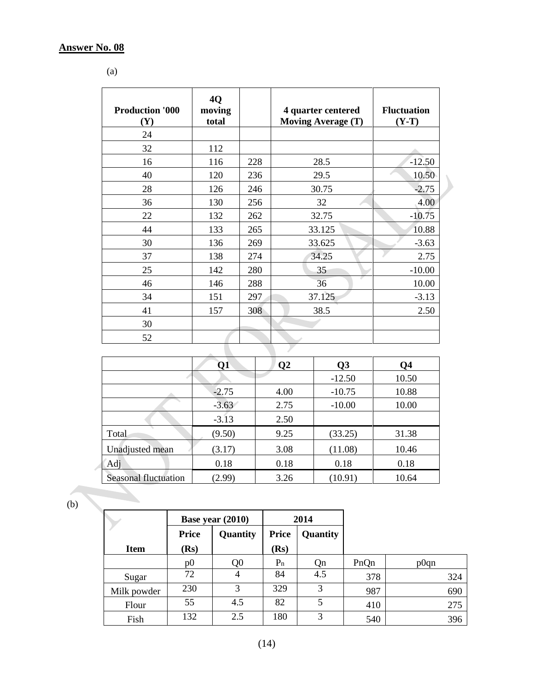(a)

| <b>Production '000</b><br>(Y) | 4Q<br>moving<br>total |     | 4 quarter centered<br><b>Moving Average (T)</b> | <b>Fluctuation</b><br>$(Y-T)$ |
|-------------------------------|-----------------------|-----|-------------------------------------------------|-------------------------------|
| 24                            |                       |     |                                                 |                               |
| 32                            | 112                   |     |                                                 |                               |
| 16                            | 116                   | 228 | 28.5                                            | $-12.50$                      |
| 40                            | 120                   | 236 | 29.5                                            | 10.50                         |
| 28                            | 126                   | 246 | 30.75                                           | $-2.75$                       |
| 36                            | 130                   | 256 | 32                                              | 4.00                          |
| 22                            | 132                   | 262 | 32.75                                           | $-10.75$                      |
| 44                            | 133                   | 265 | 33.125                                          | 10.88                         |
| 30                            | 136                   | 269 | 33.625                                          | $-3.63$                       |
| 37                            | 138                   | 274 | 34.25                                           | 2.75                          |
| 25                            | 142                   | 280 | 35                                              | $-10.00$                      |
| 46                            | 146                   | 288 | 36                                              | 10.00                         |
| 34                            | 151                   | 297 | 37.125                                          | $-3.13$                       |
| 41                            | 157                   | 308 | 38.5                                            | 2.50                          |
| 30                            |                       |     |                                                 |                               |
| 52                            |                       |     |                                                 |                               |

 $\blacktriangleright$ 

|                             | Q1      | $\mathbf{Q}$ | Q <sub>3</sub> | Q4    |
|-----------------------------|---------|--------------|----------------|-------|
|                             |         |              | $-12.50$       | 10.50 |
|                             | $-2.75$ | 4.00         | $-10.75$       | 10.88 |
|                             | $-3.63$ | 2.75         | $-10.00$       | 10.00 |
|                             | $-3.13$ | 2.50         |                |       |
| Total                       | (9.50)  | 9.25         | (33.25)        | 31.38 |
| Unadjusted mean             | (3.17)  | 3.08         | (11.08)        | 10.46 |
| Adj                         | 0.18    | 0.18         | 0.18           | 0.18  |
| <b>Seasonal fluctuation</b> | (2.99)  | 3.26         | (10.91)        | 10.64 |

(b)

|             |                | Base year (2010) |              | 2014     |      |      |
|-------------|----------------|------------------|--------------|----------|------|------|
|             | <b>Price</b>   | Quantity         | <b>Price</b> | Quantity |      |      |
| <b>Item</b> | (Rs)           |                  | (Rs)         |          |      |      |
|             | p <sub>0</sub> | Q <sub>0</sub>   | $P_n$        | Qn       | PnQn | p0qn |
| Sugar       | 72             | 4                | 84           | 4.5      | 378  | 324  |
| Milk powder | 230            | 3                | 329          | 3        | 987  | 690  |
| Flour       | 55             | 4.5              | 82           | 5        | 410  | 275  |
| Fish        | 132            | 2.5              | 180          | 3        | 540  | 396  |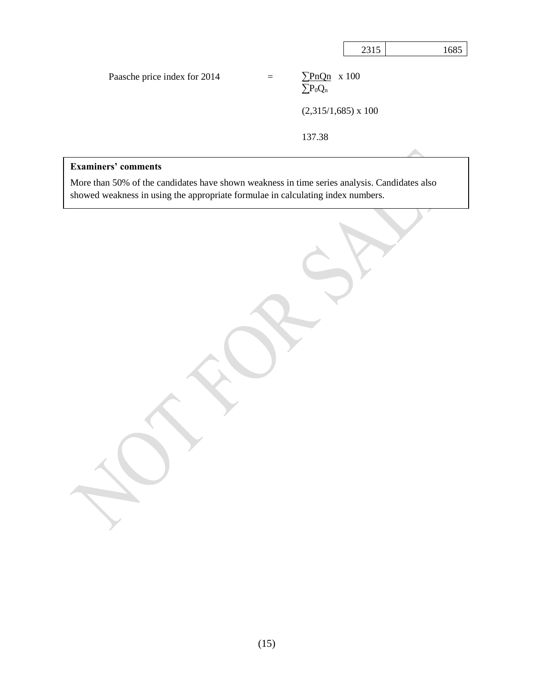|                              |     |                                            | 2315 | 1685 |
|------------------------------|-----|--------------------------------------------|------|------|
| Paasche price index for 2014 | $=$ | $\Sigma PnQn \times 100$<br>$\sum P_0 Q_n$ |      |      |
|                              |     | $(2,315/1,685) \times 100$                 |      |      |
|                              |     | 137.38                                     |      |      |

#### **Examiners' comments**

More than 50% of the candidates have shown weakness in time series analysis. Candidates also showed weakness in using the appropriate formulae in calculating index numbers.